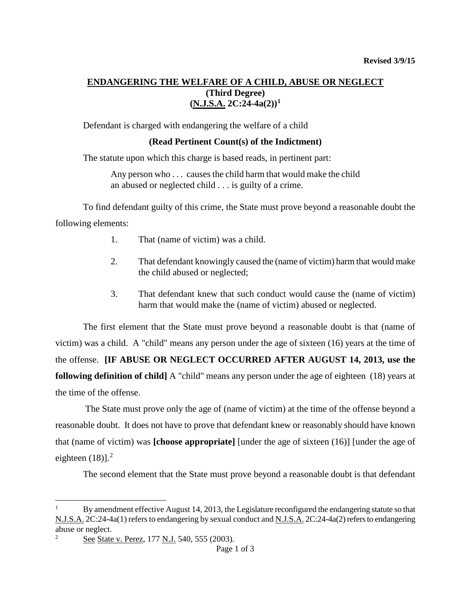# **ENDANGERING THE WELFARE OF A CHILD, ABUSE OR NEGLECT (Third Degree) (N.J.S.A. 2C:24-4a(2)) [1](#page-0-0)**

Defendant is charged with endangering the welfare of a child

## **(Read Pertinent Count(s) of the Indictment)**

The statute upon which this charge is based reads, in pertinent part:

Any person who . . . causes the child harm that would make the child an abused or neglected child . . . is guilty of a crime.

To find defendant guilty of this crime, the State must prove beyond a reasonable doubt the following elements:

- 1. That (name of victim) was a child.
- 2. That defendant knowingly caused the (name of victim) harm that would make the child abused or neglected;
- 3. That defendant knew that such conduct would cause the (name of victim) harm that would make the (name of victim) abused or neglected.

The first element that the State must prove beyond a reasonable doubt is that (name of victim) was a child. A "child" means any person under the age of sixteen (16) years at the time of the offense. **[IF ABUSE OR NEGLECT OCCURRED AFTER AUGUST 14, 2013, use the following definition of child]** A "child" means any person under the age of eighteen (18) years at the time of the offense.

The State must prove only the age of (name of victim) at the time of the offense beyond a reasonable doubt. It does not have to prove that defendant knew or reasonably should have known that (name of victim) was **[choose appropriate]** [under the age of sixteen (16)] [under the age of eighteen  $(18)$ ].<sup>[2](#page-0-1)</sup>

The second element that the State must prove beyond a reasonable doubt is that defendant

Ξ

<span id="page-0-0"></span><sup>1</sup> By amendment effective August 14, 2013, the Legislature reconfigured the endangering statute so that N.J.S.A. 2C:24-4a(1) refers to endangering by sexual conduct and N.J.S.A. 2C:24-4a(2) refers to endangering abuse or neglect.

<span id="page-0-1"></span><sup>&</sup>lt;sup>2</sup> See State v. Perez, 177 N.J. 540, 555 (2003).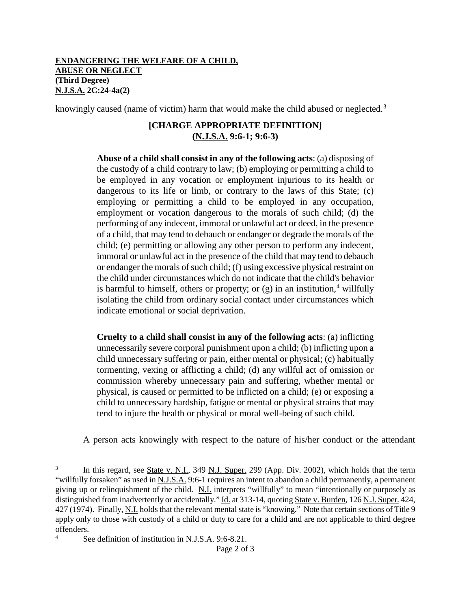## **ENDANGERING THE WELFARE OF A CHILD, ABUSE OR NEGLECT (Third Degree) N.J.S.A. 2C:24-4a(2)**

knowingly caused (name of victim) harm that would make the child abused or neglected.<sup>[3](#page-1-0)</sup>

# **[CHARGE APPROPRIATE DEFINITION] (N.J.S.A. 9:6-1; 9:6-3)**

**Abuse of a child shall consist in any of the following acts**: (a) disposing of the custody of a child contrary to law; (b) employing or permitting a child to be employed in any vocation or employment injurious to its health or dangerous to its life or limb, or contrary to the laws of this State; (c) employing or permitting a child to be employed in any occupation, employment or vocation dangerous to the morals of such child; (d) the performing of any indecent, immoral or unlawful act or deed, in the presence of a child, that may tend to debauch or endanger or degrade the morals of the child; (e) permitting or allowing any other person to perform any indecent, immoral or unlawful act in the presence of the child that may tend to debauch or endanger the morals of such child; (f) using excessive physical restraint on the child under circumstances which do not indicate that the child's behavior is harmful to himself, others or property; or  $(g)$  in an institution,<sup>[4](#page-1-1)</sup> willfully isolating the child from ordinary social contact under circumstances which indicate emotional or social deprivation.

**Cruelty to a child shall consist in any of the following acts**: (a) inflicting unnecessarily severe corporal punishment upon a child; (b) inflicting upon a child unnecessary suffering or pain, either mental or physical; (c) habitually tormenting, vexing or afflicting a child; (d) any willful act of omission or commission whereby unnecessary pain and suffering, whether mental or physical, is caused or permitted to be inflicted on a child; (e) or exposing a child to unnecessary hardship, fatigue or mental or physical strains that may tend to injure the health or physical or moral well-being of such child.

A person acts knowingly with respect to the nature of his/her conduct or the attendant

<span id="page-1-0"></span>In this regard, see State v. N.I., 349 N.J. Super. 299 (App. Div. 2002), which holds that the term "willfully forsaken" as used in N.J.S.A. 9:6-1 requires an intent to abandon a child permanently, a permanent giving up or relinquishment of the child. N.I. interprets "willfully" to mean "intentionally or purposely as distinguished from inadvertently or accidentally." Id. at 313-14, quoting State v. Burden, 126 N.J. Super. 424, 427 (1974). Finally, N.I. holds that the relevant mental state is "knowing." Note that certain sections of Title 9 apply only to those with custody of a child or duty to care for a child and are not applicable to third degree offenders.  $\overline{3}$ 

<span id="page-1-1"></span><sup>4</sup> See definition of institution in N.J.S.A. 9:6-8.21.